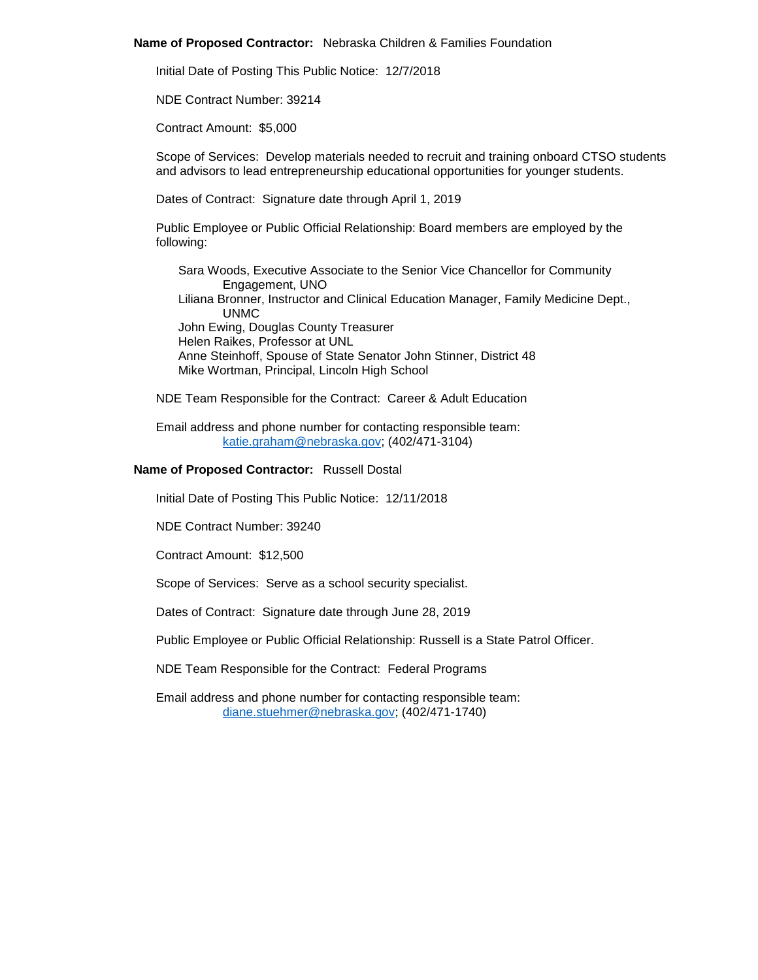### **Name of Proposed Contractor:** Nebraska Children & Families Foundation

Initial Date of Posting This Public Notice: 12/7/2018

NDE Contract Number: 39214

Contract Amount: \$5,000

Scope of Services: Develop materials needed to recruit and training onboard CTSO students and advisors to lead entrepreneurship educational opportunities for younger students.

Dates of Contract: Signature date through April 1, 2019

Public Employee or Public Official Relationship: Board members are employed by the following:

Sara Woods, Executive Associate to the Senior Vice Chancellor for Community Engagement, UNO Liliana Bronner, Instructor and Clinical Education Manager, Family Medicine Dept., UNMC John Ewing, Douglas County Treasurer Helen Raikes, Professor at UNL Anne Steinhoff, Spouse of State Senator John Stinner, District 48 Mike Wortman, Principal, Lincoln High School

NDE Team Responsible for the Contract: Career & Adult Education

Email address and phone number for contacting responsible team: [katie.graham@nebraska.gov;](mailto:katie.graham@nebraska.gov) (402/471-3104)

# **Name of Proposed Contractor:** Russell Dostal

Initial Date of Posting This Public Notice: 12/11/2018

NDE Contract Number: 39240

Contract Amount: \$12,500

Scope of Services: Serve as a school security specialist.

Dates of Contract: Signature date through June 28, 2019

Public Employee or Public Official Relationship: Russell is a State Patrol Officer.

NDE Team Responsible for the Contract: Federal Programs

Email address and phone number for contacting responsible team: [diane.stuehmer@nebraska.gov;](mailto:diane.stuehmer@nebraska.gov) (402/471-1740)